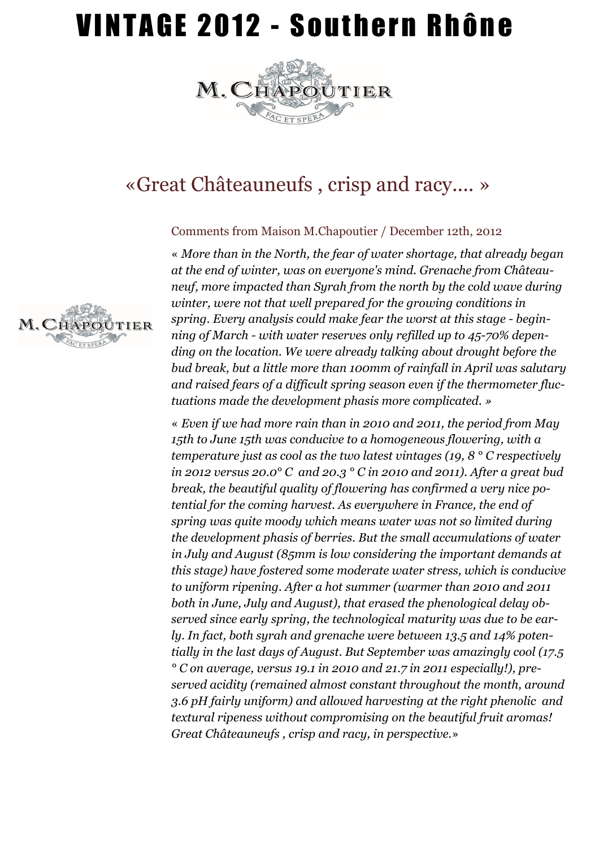## VINTAGE 2012 - Southern Rhône



### «Great Châteauneufs , crisp and racy.... »

### Comments from Maison M.Chapoutier / December 12th, 2012

« *More than in the North, the fear of water shortage, that already began at the end of winter, was on everyone's mind. Grenache from Châteauneuf, more impacted than Syrah from the north by the cold wave during winter, were not that well prepared for the growing conditions in spring. Every analysis could make fear the worst at this stage - beginning of March - with water reserves only refilled up to 45-70% depending on the location. We were already talking about drought before the bud break, but a little more than 100mm of rainfall in April was salutary and raised fears of a difficult spring season even if the thermometer fluctuations made the development phasis more complicated. »* 

« *Even if we had more rain than in 2010 and 2011, the period from May 15th to June 15th was conducive to a homogeneous flowering, with a temperature just as cool as the two latest vintages (19, 8 ° C respectively in 2012 versus 20.0° C and 20.3 ° C in 2010 and 2011). After a great bud break, the beautiful quality of flowering has confirmed a very nice potential for the coming harvest. As everywhere in France, the end of spring was quite moody which means water was not so limited during the development phasis of berries. But the small accumulations of water in July and August (85mm is low considering the important demands at this stage) have fostered some moderate water stress, which is conducive to uniform ripening. After a hot summer (warmer than 2010 and 2011 both in June, July and August), that erased the phenological delay observed since early spring, the technological maturity was due to be early. In fact, both syrah and grenache were between 13.5 and 14% potentially in the last days of August. But September was amazingly cool (17.5 ° C on average, versus 19.1 in 2010 and 21.7 in 2011 especially!), preserved acidity (remained almost constant throughout the month, around 3.6 pH fairly uniform) and allowed harvesting at the right phenolic and textural ripeness without compromising on the beautiful fruit aromas! Great Châteauneufs , crisp and racy, in perspective.*»